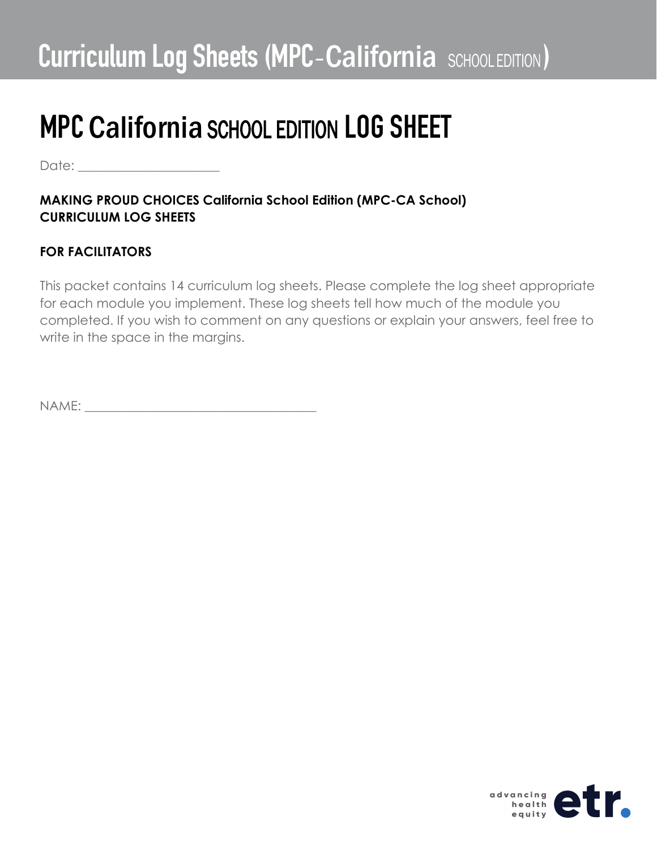Date:  $\Box$ 

#### **MAKING PROUD CHOICES California School Edition (MPC-CA School) CURRICULUM LOG SHEETS**

#### **FOR FACILITATORS**

This packet contains 14 curriculum log sheets. Please complete the log sheet appropriate for each module you implement. These log sheets tell how much of the module you completed. If you wish to comment on any questions or explain your answers, feel free to write in the space in the margins.

NAME:

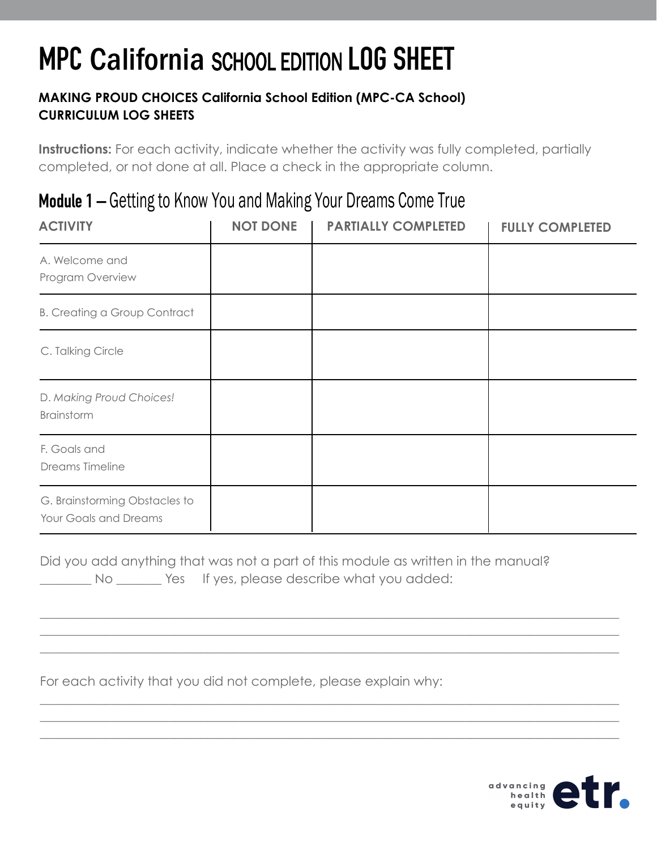#### **MAKING PROUD CHOICES California School Edition (MPC-CA School) CURRICULUM LOG SHEETS**

**Instructions:** For each activity, indicate whether the activity was fully completed, partially completed, or not done at all. Place a check in the appropriate column.

### Module 1 – Getting to Know You and Making Your Dreams Come True

| <b>ACTIVITY</b>                                        | <b>NOT DONE</b> | <b>PARTIALLY COMPLETED</b> | <b>FULLY COMPLETED</b> |
|--------------------------------------------------------|-----------------|----------------------------|------------------------|
| A. Welcome and<br>Program Overview                     |                 |                            |                        |
| <b>B. Creating a Group Contract</b>                    |                 |                            |                        |
| C. Talking Circle                                      |                 |                            |                        |
| D. Making Proud Choices!<br>Brainstorm                 |                 |                            |                        |
| F. Goals and<br>Dreams Timeline                        |                 |                            |                        |
| G. Brainstorming Obstacles to<br>Your Goals and Dreams |                 |                            |                        |

Did you add anything that was not a part of this module as written in the manual? No Wes If yes, please describe what you added:

\_\_\_\_\_\_\_\_\_\_\_\_\_\_\_\_\_\_\_\_\_\_\_\_\_\_\_\_\_\_\_\_\_\_\_\_\_\_\_\_\_\_\_\_\_\_\_\_\_\_\_\_\_\_\_\_\_\_\_\_\_\_\_\_\_\_\_\_\_\_\_\_\_\_\_\_\_\_\_\_\_\_\_\_\_\_\_\_\_\_ \_\_\_\_\_\_\_\_\_\_\_\_\_\_\_\_\_\_\_\_\_\_\_\_\_\_\_\_\_\_\_\_\_\_\_\_\_\_\_\_\_\_\_\_\_\_\_\_\_\_\_\_\_\_\_\_\_\_\_\_\_\_\_\_\_\_\_\_\_\_\_\_\_\_\_\_\_\_\_\_\_\_\_\_\_\_\_\_\_\_  $\_$  , and the set of the set of the set of the set of the set of the set of the set of the set of the set of the set of the set of the set of the set of the set of the set of the set of the set of the set of the set of th

\_\_\_\_\_\_\_\_\_\_\_\_\_\_\_\_\_\_\_\_\_\_\_\_\_\_\_\_\_\_\_\_\_\_\_\_\_\_\_\_\_\_\_\_\_\_\_\_\_\_\_\_\_\_\_\_\_\_\_\_\_\_\_\_\_\_\_\_\_\_\_\_\_\_\_\_\_\_\_\_\_\_\_\_\_\_\_\_\_\_ \_\_\_\_\_\_\_\_\_\_\_\_\_\_\_\_\_\_\_\_\_\_\_\_\_\_\_\_\_\_\_\_\_\_\_\_\_\_\_\_\_\_\_\_\_\_\_\_\_\_\_\_\_\_\_\_\_\_\_\_\_\_\_\_\_\_\_\_\_\_\_\_\_\_\_\_\_\_\_\_\_\_\_\_\_\_\_\_\_\_ \_\_\_\_\_\_\_\_\_\_\_\_\_\_\_\_\_\_\_\_\_\_\_\_\_\_\_\_\_\_\_\_\_\_\_\_\_\_\_\_\_\_\_\_\_\_\_\_\_\_\_\_\_\_\_\_\_\_\_\_\_\_\_\_\_\_\_\_\_\_\_\_\_\_\_\_\_\_\_\_\_\_\_\_\_\_\_\_\_\_

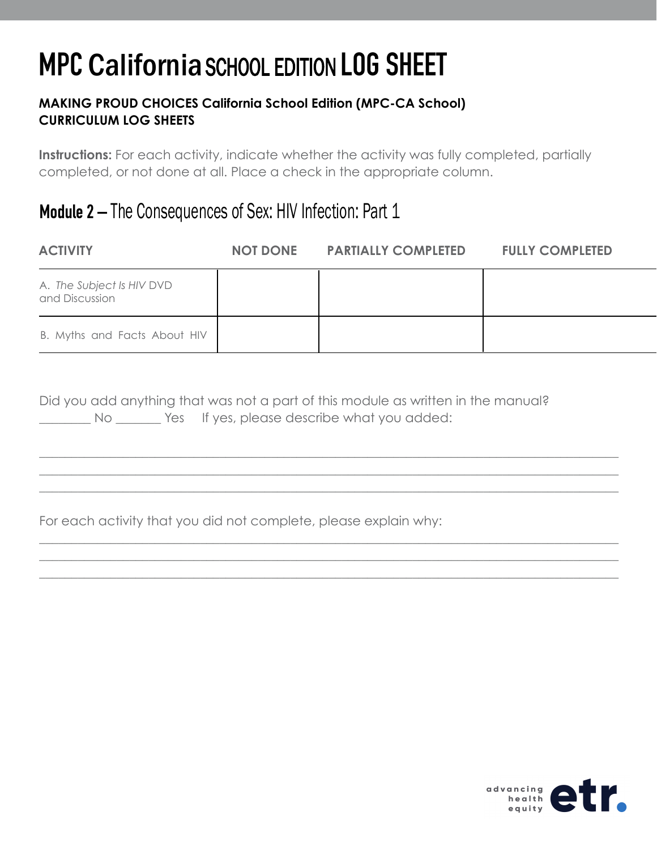#### **MAKING PROUD CHOICES California School Edition (MPC-CA School) CURRICULUM LOG SHEETS**

**Instructions:** For each activity, indicate whether the activity was fully completed, partially completed, or not done at all. Place a check in the appropriate column.

### Module 2 – The Consequences of Sex: HIV Infection: Part 1

| <b>ACTIVITY</b>                             | <b>NOT DONE</b> | <b>PARTIALLY COMPLETED</b> | <b>FULLY COMPLETED</b> |
|---------------------------------------------|-----------------|----------------------------|------------------------|
| A. The Subject Is HIV DVD<br>and Discussion |                 |                            |                        |
| B. Myths and Facts About HIV                |                 |                            |                        |

|  | Did you add anything that was not a part of this module as written in the manual? |                                             |  |  |  |
|--|-----------------------------------------------------------------------------------|---------------------------------------------|--|--|--|
|  |                                                                                   | Yes If yes, please describe what you added: |  |  |  |

\_\_\_\_\_\_\_\_\_\_\_\_\_\_\_\_\_\_\_\_\_\_\_\_\_\_\_\_\_\_\_\_\_\_\_\_\_\_\_\_\_\_\_\_\_\_\_\_\_\_\_\_\_\_\_\_\_\_\_\_\_\_\_\_\_\_\_\_\_\_\_\_\_\_\_\_\_\_\_\_\_\_\_\_\_\_\_\_\_\_ \_\_\_\_\_\_\_\_\_\_\_\_\_\_\_\_\_\_\_\_\_\_\_\_\_\_\_\_\_\_\_\_\_\_\_\_\_\_\_\_\_\_\_\_\_\_\_\_\_\_\_\_\_\_\_\_\_\_\_\_\_\_\_\_\_\_\_\_\_\_\_\_\_\_\_\_\_\_\_\_\_\_\_\_\_\_\_\_\_\_ \_\_\_\_\_\_\_\_\_\_\_\_\_\_\_\_\_\_\_\_\_\_\_\_\_\_\_\_\_\_\_\_\_\_\_\_\_\_\_\_\_\_\_\_\_\_\_\_\_\_\_\_\_\_\_\_\_\_\_\_\_\_\_\_\_\_\_\_\_\_\_\_\_\_\_\_\_\_\_\_\_\_\_\_\_\_\_\_\_\_

\_\_\_\_\_\_\_\_\_\_\_\_\_\_\_\_\_\_\_\_\_\_\_\_\_\_\_\_\_\_\_\_\_\_\_\_\_\_\_\_\_\_\_\_\_\_\_\_\_\_\_\_\_\_\_\_\_\_\_\_\_\_\_\_\_\_\_\_\_\_\_\_\_\_\_\_\_\_\_\_\_\_\_\_\_\_\_\_\_\_ \_\_\_\_\_\_\_\_\_\_\_\_\_\_\_\_\_\_\_\_\_\_\_\_\_\_\_\_\_\_\_\_\_\_\_\_\_\_\_\_\_\_\_\_\_\_\_\_\_\_\_\_\_\_\_\_\_\_\_\_\_\_\_\_\_\_\_\_\_\_\_\_\_\_\_\_\_\_\_\_\_\_\_\_\_\_\_\_\_\_ \_\_\_\_\_\_\_\_\_\_\_\_\_\_\_\_\_\_\_\_\_\_\_\_\_\_\_\_\_\_\_\_\_\_\_\_\_\_\_\_\_\_\_\_\_\_\_\_\_\_\_\_\_\_\_\_\_\_\_\_\_\_\_\_\_\_\_\_\_\_\_\_\_\_\_\_\_\_\_\_\_\_\_\_\_\_\_\_\_\_

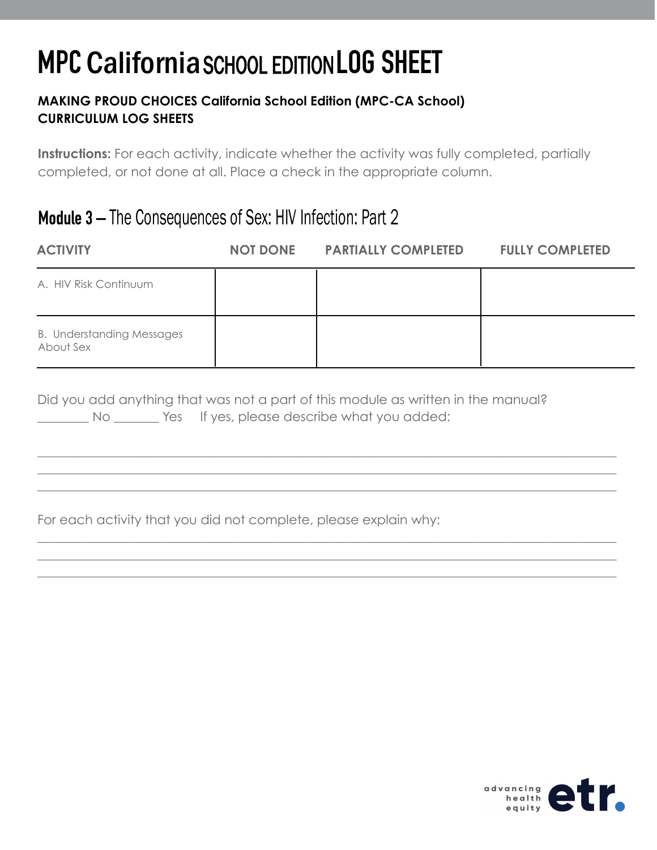#### **MAKING PROUD CHOICES California School Edition (MPC-CA School) CURRICULUM LOG SHEETS**

**Instructions:** For each activity, indicate whether the activity was fully completed, partially completed, or not done at all. Place a check in the appropriate column.

### Module 3 – The Consequences of Sex: HIV Infection: Part 2

| <b>ACTIVITY</b>                                                                   | <b>NOT DONE</b> | <b>PARTIALLY COMPLETED</b> | <b>FULLY COMPLETED</b> |
|-----------------------------------------------------------------------------------|-----------------|----------------------------|------------------------|
| A. HIV Risk Continuum                                                             |                 |                            |                        |
| <b>B. Understanding Messages</b><br>About Sex                                     |                 |                            |                        |
| Did you add anything that was not a part of this module as written in the manual? |                 |                            |                        |

\_\_\_\_\_\_\_\_\_\_\_\_\_\_\_\_\_\_\_\_\_\_\_\_\_\_\_\_\_\_\_\_\_\_\_\_\_\_\_\_\_\_\_\_\_\_\_\_\_\_\_\_\_\_\_\_\_\_\_\_\_\_\_\_\_\_\_\_\_\_\_\_\_\_\_\_\_\_\_\_\_\_\_\_\_\_\_\_\_\_ \_\_\_\_\_\_\_\_\_\_\_\_\_\_\_\_\_\_\_\_\_\_\_\_\_\_\_\_\_\_\_\_\_\_\_\_\_\_\_\_\_\_\_\_\_\_\_\_\_\_\_\_\_\_\_\_\_\_\_\_\_\_\_\_\_\_\_\_\_\_\_\_\_\_\_\_\_\_\_\_\_\_\_\_\_\_\_\_\_\_ \_\_\_\_\_\_\_\_\_\_\_\_\_\_\_\_\_\_\_\_\_\_\_\_\_\_\_\_\_\_\_\_\_\_\_\_\_\_\_\_\_\_\_\_\_\_\_\_\_\_\_\_\_\_\_\_\_\_\_\_\_\_\_\_\_\_\_\_\_\_\_\_\_\_\_\_\_\_\_\_\_\_\_\_\_\_\_\_\_\_

\_\_\_\_\_\_\_\_\_\_\_\_\_\_\_\_\_\_\_\_\_\_\_\_\_\_\_\_\_\_\_\_\_\_\_\_\_\_\_\_\_\_\_\_\_\_\_\_\_\_\_\_\_\_\_\_\_\_\_\_\_\_\_\_\_\_\_\_\_\_\_\_\_\_\_\_\_\_\_\_\_\_\_\_\_\_\_\_\_\_ \_\_\_\_\_\_\_\_\_\_\_\_\_\_\_\_\_\_\_\_\_\_\_\_\_\_\_\_\_\_\_\_\_\_\_\_\_\_\_\_\_\_\_\_\_\_\_\_\_\_\_\_\_\_\_\_\_\_\_\_\_\_\_\_\_\_\_\_\_\_\_\_\_\_\_\_\_\_\_\_\_\_\_\_\_\_\_\_\_\_ \_\_\_\_\_\_\_\_\_\_\_\_\_\_\_\_\_\_\_\_\_\_\_\_\_\_\_\_\_\_\_\_\_\_\_\_\_\_\_\_\_\_\_\_\_\_\_\_\_\_\_\_\_\_\_\_\_\_\_\_\_\_\_\_\_\_\_\_\_\_\_\_\_\_\_\_\_\_\_\_\_\_\_\_\_\_\_\_\_\_

d you ddd anything that was not a part of this module as written in the i No \_\_\_\_\_\_\_ Yes If yes, please describe what you added:

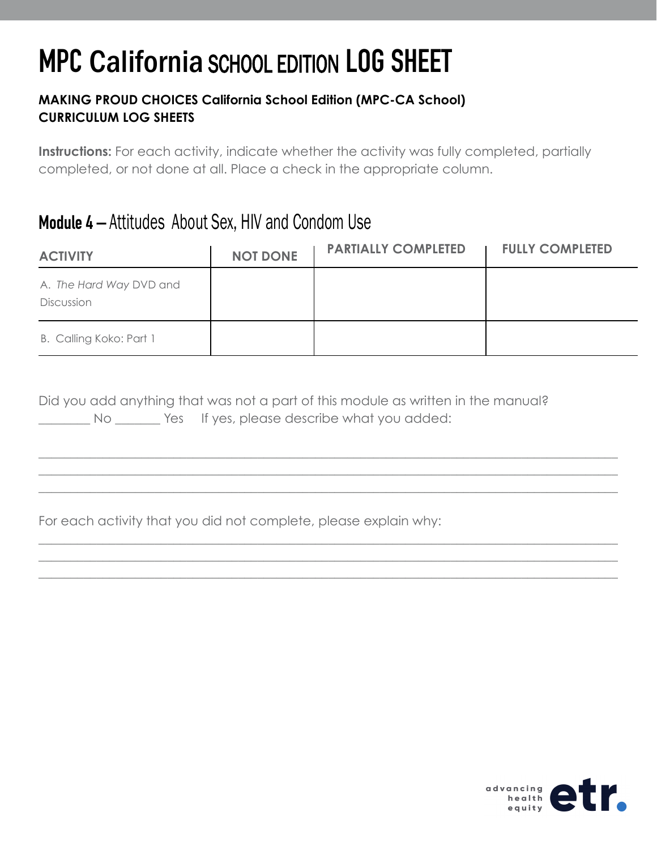#### **MAKING PROUD CHOICES California School Edition (MPC-CA School) CURRICULUM LOG SHEETS**

**Instructions:** For each activity, indicate whether the activity was fully completed, partially completed, or not done at all. Place a check in the appropriate column.

### Module 4 – Attitudes About Sex, HIV and Condom Use

| <b>ACTIVITY</b>                       | <b>NOT DONE</b> | <b>PARTIALLY COMPLETED</b> | <b>FULLY COMPLETED</b> |
|---------------------------------------|-----------------|----------------------------|------------------------|
| A. The Hard Way DVD and<br>Discussion |                 |                            |                        |
| B. Calling Koko: Part 1               |                 |                            |                        |

 $\_$  , and the set of the set of the set of the set of the set of the set of the set of the set of the set of the set of the set of the set of the set of the set of the set of the set of the set of the set of the set of th \_\_\_\_\_\_\_\_\_\_\_\_\_\_\_\_\_\_\_\_\_\_\_\_\_\_\_\_\_\_\_\_\_\_\_\_\_\_\_\_\_\_\_\_\_\_\_\_\_\_\_\_\_\_\_\_\_\_\_\_\_\_\_\_\_\_\_\_\_\_\_\_\_\_\_\_\_\_\_\_\_\_\_\_\_\_\_\_\_\_ \_\_\_\_\_\_\_\_\_\_\_\_\_\_\_\_\_\_\_\_\_\_\_\_\_\_\_\_\_\_\_\_\_\_\_\_\_\_\_\_\_\_\_\_\_\_\_\_\_\_\_\_\_\_\_\_\_\_\_\_\_\_\_\_\_\_\_\_\_\_\_\_\_\_\_\_\_\_\_\_\_\_\_\_\_\_\_\_\_\_

\_\_\_\_\_\_\_\_\_\_\_\_\_\_\_\_\_\_\_\_\_\_\_\_\_\_\_\_\_\_\_\_\_\_\_\_\_\_\_\_\_\_\_\_\_\_\_\_\_\_\_\_\_\_\_\_\_\_\_\_\_\_\_\_\_\_\_\_\_\_\_\_\_\_\_\_\_\_\_\_\_\_\_\_\_\_\_\_\_\_  $\_$  , and the set of the set of the set of the set of the set of the set of the set of the set of the set of the set of the set of the set of the set of the set of the set of the set of the set of the set of the set of th \_\_\_\_\_\_\_\_\_\_\_\_\_\_\_\_\_\_\_\_\_\_\_\_\_\_\_\_\_\_\_\_\_\_\_\_\_\_\_\_\_\_\_\_\_\_\_\_\_\_\_\_\_\_\_\_\_\_\_\_\_\_\_\_\_\_\_\_\_\_\_\_\_\_\_\_\_\_\_\_\_\_\_\_\_\_\_\_\_\_

|    |  |  |                                             | Did you add anything that was not a part of this module as written in the manual? |
|----|--|--|---------------------------------------------|-----------------------------------------------------------------------------------|
| No |  |  | Yes If yes, please describe what you added: |                                                                                   |

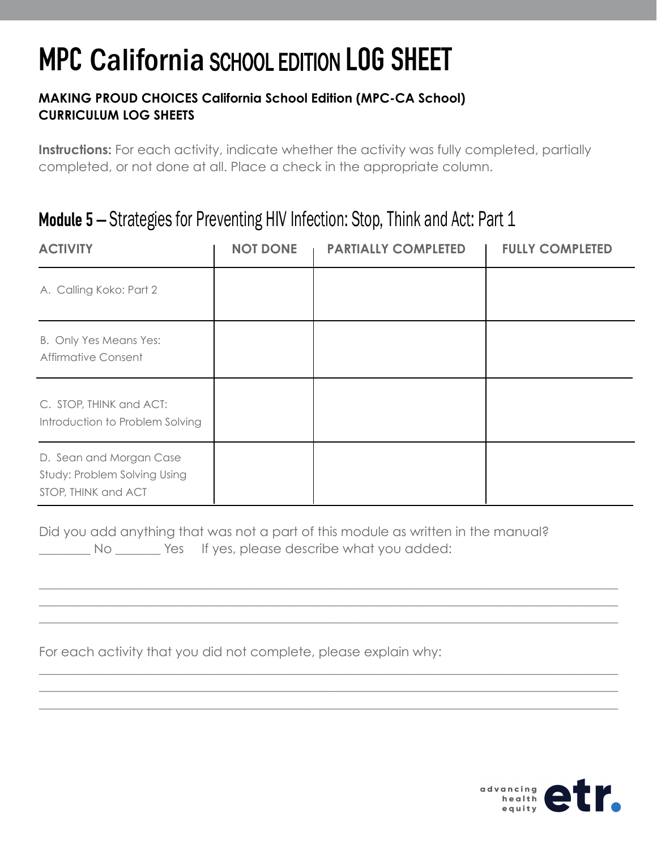#### **MAKING PROUD CHOICES California School Edition (MPC-CA School) CURRICULUM LOG SHEETS**

**Instructions:** For each activity, indicate whether the activity was fully completed, partially completed, or not done at all. Place a check in the appropriate column.

### Module 5 – Strategies for Preventing HIV Infection: Stop, Think and Act: Part 1

| <b>ACTIVITY</b>                                                                | <b>NOT DONE</b> | <b>PARTIALLY COMPLETED</b> | <b>FULLY COMPLETED</b> |
|--------------------------------------------------------------------------------|-----------------|----------------------------|------------------------|
| A. Calling Koko: Part 2                                                        |                 |                            |                        |
| B. Only Yes Means Yes:<br>Affirmative Consent                                  |                 |                            |                        |
| C. STOP, THINK and ACT:<br>Introduction to Problem Solving                     |                 |                            |                        |
| D. Sean and Morgan Case<br>Study: Problem Solving Using<br>STOP, THINK and ACT |                 |                            |                        |

Did you add anything that was not a part of this module as written in the manual? No Western Hilbers, please describe what you added:

\_\_\_\_\_\_\_\_\_\_\_\_\_\_\_\_\_\_\_\_\_\_\_\_\_\_\_\_\_\_\_\_\_\_\_\_\_\_\_\_\_\_\_\_\_\_\_\_\_\_\_\_\_\_\_\_\_\_\_\_\_\_\_\_\_\_\_\_\_\_\_\_\_\_\_\_\_\_\_\_\_\_\_\_\_\_\_\_\_\_ \_\_\_\_\_\_\_\_\_\_\_\_\_\_\_\_\_\_\_\_\_\_\_\_\_\_\_\_\_\_\_\_\_\_\_\_\_\_\_\_\_\_\_\_\_\_\_\_\_\_\_\_\_\_\_\_\_\_\_\_\_\_\_\_\_\_\_\_\_\_\_\_\_\_\_\_\_\_\_\_\_\_\_\_\_\_\_\_\_\_ \_\_\_\_\_\_\_\_\_\_\_\_\_\_\_\_\_\_\_\_\_\_\_\_\_\_\_\_\_\_\_\_\_\_\_\_\_\_\_\_\_\_\_\_\_\_\_\_\_\_\_\_\_\_\_\_\_\_\_\_\_\_\_\_\_\_\_\_\_\_\_\_\_\_\_\_\_\_\_\_\_\_\_\_\_\_\_\_\_\_

\_\_\_\_\_\_\_\_\_\_\_\_\_\_\_\_\_\_\_\_\_\_\_\_\_\_\_\_\_\_\_\_\_\_\_\_\_\_\_\_\_\_\_\_\_\_\_\_\_\_\_\_\_\_\_\_\_\_\_\_\_\_\_\_\_\_\_\_\_\_\_\_\_\_\_\_\_\_\_\_\_\_\_\_\_\_\_\_\_\_ \_\_\_\_\_\_\_\_\_\_\_\_\_\_\_\_\_\_\_\_\_\_\_\_\_\_\_\_\_\_\_\_\_\_\_\_\_\_\_\_\_\_\_\_\_\_\_\_\_\_\_\_\_\_\_\_\_\_\_\_\_\_\_\_\_\_\_\_\_\_\_\_\_\_\_\_\_\_\_\_\_\_\_\_\_\_\_\_\_\_ \_\_\_\_\_\_\_\_\_\_\_\_\_\_\_\_\_\_\_\_\_\_\_\_\_\_\_\_\_\_\_\_\_\_\_\_\_\_\_\_\_\_\_\_\_\_\_\_\_\_\_\_\_\_\_\_\_\_\_\_\_\_\_\_\_\_\_\_\_\_\_\_\_\_\_\_\_\_\_\_\_\_\_\_\_\_\_\_\_\_

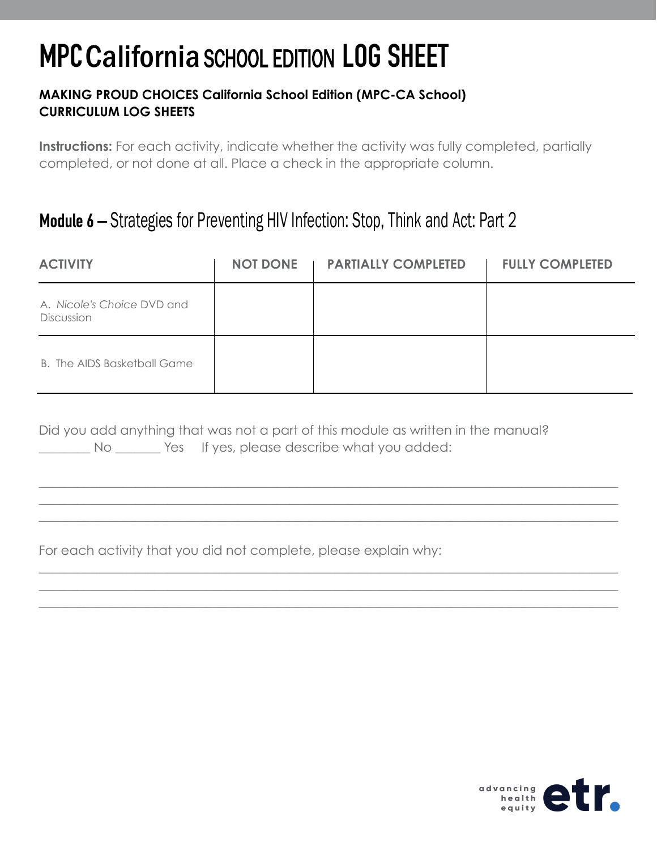#### **MAKING PROUD CHOICES California School Edition (MPC-CA School) CURRICULUM LOG SHEETS**

**Instructions:** For each activity, indicate whether the activity was fully completed, partially completed, or not done at all. Place a check in the appropriate column.

### Module 6 – Strategies for Preventing HIV Infection: Stop, Think and Act: Part 2

| <b>ACTIVITY</b>                                 | NOT DONE   PARTIALLY COMPLETED | <b>FULLY COMPLETED</b> |
|-------------------------------------------------|--------------------------------|------------------------|
| A. Nicole's Choice DVD and<br><b>Discussion</b> |                                |                        |
| B. The AIDS Basketball Game                     |                                |                        |

\_\_\_\_\_\_\_\_\_\_\_\_\_\_\_\_\_\_\_\_\_\_\_\_\_\_\_\_\_\_\_\_\_\_\_\_\_\_\_\_\_\_\_\_\_\_\_\_\_\_\_\_\_\_\_\_\_\_\_\_\_\_\_\_\_\_\_\_\_\_\_\_\_\_\_\_\_\_\_\_\_\_\_\_\_\_\_\_\_\_ \_\_\_\_\_\_\_\_\_\_\_\_\_\_\_\_\_\_\_\_\_\_\_\_\_\_\_\_\_\_\_\_\_\_\_\_\_\_\_\_\_\_\_\_\_\_\_\_\_\_\_\_\_\_\_\_\_\_\_\_\_\_\_\_\_\_\_\_\_\_\_\_\_\_\_\_\_\_\_\_\_\_\_\_\_\_\_\_\_\_ \_\_\_\_\_\_\_\_\_\_\_\_\_\_\_\_\_\_\_\_\_\_\_\_\_\_\_\_\_\_\_\_\_\_\_\_\_\_\_\_\_\_\_\_\_\_\_\_\_\_\_\_\_\_\_\_\_\_\_\_\_\_\_\_\_\_\_\_\_\_\_\_\_\_\_\_\_\_\_\_\_\_\_\_\_\_\_\_\_\_

\_\_\_\_\_\_\_\_\_\_\_\_\_\_\_\_\_\_\_\_\_\_\_\_\_\_\_\_\_\_\_\_\_\_\_\_\_\_\_\_\_\_\_\_\_\_\_\_\_\_\_\_\_\_\_\_\_\_\_\_\_\_\_\_\_\_\_\_\_\_\_\_\_\_\_\_\_\_\_\_\_\_\_\_\_\_\_\_\_\_ \_\_\_\_\_\_\_\_\_\_\_\_\_\_\_\_\_\_\_\_\_\_\_\_\_\_\_\_\_\_\_\_\_\_\_\_\_\_\_\_\_\_\_\_\_\_\_\_\_\_\_\_\_\_\_\_\_\_\_\_\_\_\_\_\_\_\_\_\_\_\_\_\_\_\_\_\_\_\_\_\_\_\_\_\_\_\_\_\_\_ \_\_\_\_\_\_\_\_\_\_\_\_\_\_\_\_\_\_\_\_\_\_\_\_\_\_\_\_\_\_\_\_\_\_\_\_\_\_\_\_\_\_\_\_\_\_\_\_\_\_\_\_\_\_\_\_\_\_\_\_\_\_\_\_\_\_\_\_\_\_\_\_\_\_\_\_\_\_\_\_\_\_\_\_\_\_\_\_\_\_

|    | Did you add anything that was not a part of this module as written in the manual? |
|----|-----------------------------------------------------------------------------------|
| No | Yes If yes, please describe what you added:                                       |

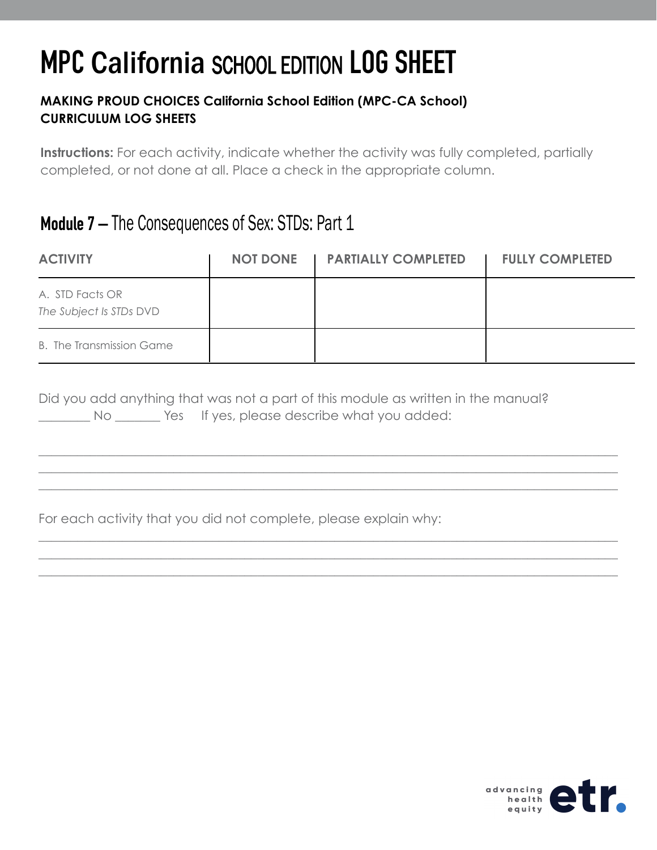#### **MAKING PROUD CHOICES California School Edition (MPC-CA School) CURRICULUM LOG SHEETS**

**Instructions:** For each activity, indicate whether the activity was fully completed, partially completed, or not done at all. Place a check in the appropriate column.

### Module 7 – The Consequences of Sex: STDs: Part 1

| <b>ACTIVITY</b>                            | NOT DONE   PARTIALLY COMPLETED | <b>FULLY COMPLETED</b> |
|--------------------------------------------|--------------------------------|------------------------|
| A. STD Facts OR<br>The Subject Is STDs DVD |                                |                        |
| <b>B.</b> The Transmission Game            |                                |                        |

\_\_\_\_\_\_\_\_\_\_\_\_\_\_\_\_\_\_\_\_\_\_\_\_\_\_\_\_\_\_\_\_\_\_\_\_\_\_\_\_\_\_\_\_\_\_\_\_\_\_\_\_\_\_\_\_\_\_\_\_\_\_\_\_\_\_\_\_\_\_\_\_\_\_\_\_\_\_\_\_\_\_\_\_\_\_\_\_\_\_ \_\_\_\_\_\_\_\_\_\_\_\_\_\_\_\_\_\_\_\_\_\_\_\_\_\_\_\_\_\_\_\_\_\_\_\_\_\_\_\_\_\_\_\_\_\_\_\_\_\_\_\_\_\_\_\_\_\_\_\_\_\_\_\_\_\_\_\_\_\_\_\_\_\_\_\_\_\_\_\_\_\_\_\_\_\_\_\_\_\_ \_\_\_\_\_\_\_\_\_\_\_\_\_\_\_\_\_\_\_\_\_\_\_\_\_\_\_\_\_\_\_\_\_\_\_\_\_\_\_\_\_\_\_\_\_\_\_\_\_\_\_\_\_\_\_\_\_\_\_\_\_\_\_\_\_\_\_\_\_\_\_\_\_\_\_\_\_\_\_\_\_\_\_\_\_\_\_\_\_\_

\_\_\_\_\_\_\_\_\_\_\_\_\_\_\_\_\_\_\_\_\_\_\_\_\_\_\_\_\_\_\_\_\_\_\_\_\_\_\_\_\_\_\_\_\_\_\_\_\_\_\_\_\_\_\_\_\_\_\_\_\_\_\_\_\_\_\_\_\_\_\_\_\_\_\_\_\_\_\_\_\_\_\_\_\_\_\_\_\_\_ \_\_\_\_\_\_\_\_\_\_\_\_\_\_\_\_\_\_\_\_\_\_\_\_\_\_\_\_\_\_\_\_\_\_\_\_\_\_\_\_\_\_\_\_\_\_\_\_\_\_\_\_\_\_\_\_\_\_\_\_\_\_\_\_\_\_\_\_\_\_\_\_\_\_\_\_\_\_\_\_\_\_\_\_\_\_\_\_\_\_ \_\_\_\_\_\_\_\_\_\_\_\_\_\_\_\_\_\_\_\_\_\_\_\_\_\_\_\_\_\_\_\_\_\_\_\_\_\_\_\_\_\_\_\_\_\_\_\_\_\_\_\_\_\_\_\_\_\_\_\_\_\_\_\_\_\_\_\_\_\_\_\_\_\_\_\_\_\_\_\_\_\_\_\_\_\_\_\_\_\_

|    |                                             |  |  | Did you add anything that was not a part of this module as written in the manual? |
|----|---------------------------------------------|--|--|-----------------------------------------------------------------------------------|
| No | Yes If yes, please describe what you added: |  |  |                                                                                   |

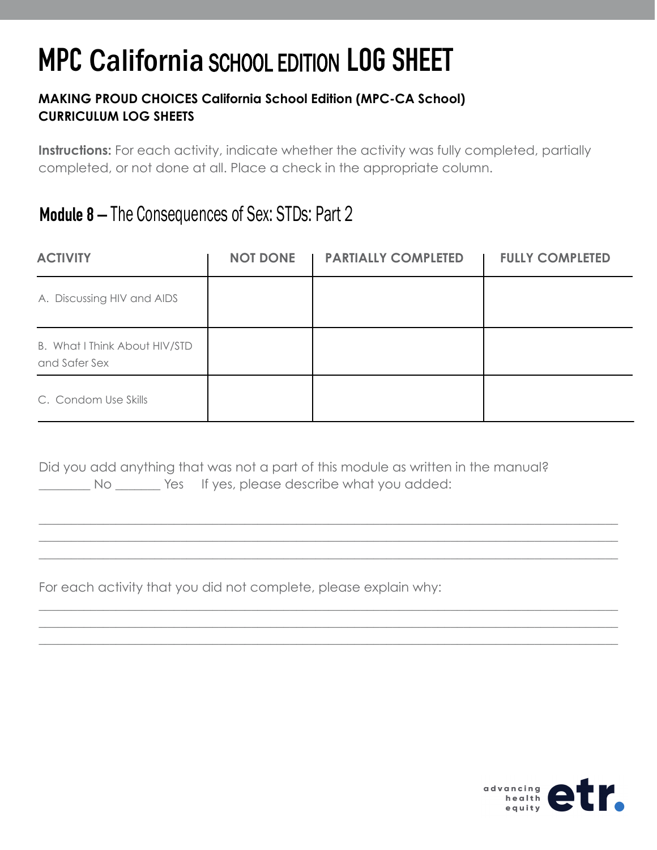#### **MAKING PROUD CHOICES California School Edition (MPC-CA School) CURRICULUM LOG SHEETS**

**Instructions:** For each activity, indicate whether the activity was fully completed, partially completed, or not done at all. Place a check in the appropriate column.

### Module 8 – The Consequences of Sex: STDs: Part 2

| <b>ACTIVITY</b>                                | <b>NOT DONE</b> | <b>PARTIALLY COMPLETED</b> | <b>FULLY COMPLETED</b> |
|------------------------------------------------|-----------------|----------------------------|------------------------|
| A. Discussing HIV and AIDS                     |                 |                            |                        |
| B. What I Think About HIV/STD<br>and Safer Sex |                 |                            |                        |
| C. Condom Use Skills                           |                 |                            |                        |

\_\_\_\_\_\_\_\_\_\_\_\_\_\_\_\_\_\_\_\_\_\_\_\_\_\_\_\_\_\_\_\_\_\_\_\_\_\_\_\_\_\_\_\_\_\_\_\_\_\_\_\_\_\_\_\_\_\_\_\_\_\_\_\_\_\_\_\_\_\_\_\_\_\_\_\_\_\_\_\_\_\_\_\_\_\_\_\_\_\_ \_\_\_\_\_\_\_\_\_\_\_\_\_\_\_\_\_\_\_\_\_\_\_\_\_\_\_\_\_\_\_\_\_\_\_\_\_\_\_\_\_\_\_\_\_\_\_\_\_\_\_\_\_\_\_\_\_\_\_\_\_\_\_\_\_\_\_\_\_\_\_\_\_\_\_\_\_\_\_\_\_\_\_\_\_\_\_\_\_\_ \_\_\_\_\_\_\_\_\_\_\_\_\_\_\_\_\_\_\_\_\_\_\_\_\_\_\_\_\_\_\_\_\_\_\_\_\_\_\_\_\_\_\_\_\_\_\_\_\_\_\_\_\_\_\_\_\_\_\_\_\_\_\_\_\_\_\_\_\_\_\_\_\_\_\_\_\_\_\_\_\_\_\_\_\_\_\_\_\_\_

\_\_\_\_\_\_\_\_\_\_\_\_\_\_\_\_\_\_\_\_\_\_\_\_\_\_\_\_\_\_\_\_\_\_\_\_\_\_\_\_\_\_\_\_\_\_\_\_\_\_\_\_\_\_\_\_\_\_\_\_\_\_\_\_\_\_\_\_\_\_\_\_\_\_\_\_\_\_\_\_\_\_\_\_\_\_\_\_\_\_ \_\_\_\_\_\_\_\_\_\_\_\_\_\_\_\_\_\_\_\_\_\_\_\_\_\_\_\_\_\_\_\_\_\_\_\_\_\_\_\_\_\_\_\_\_\_\_\_\_\_\_\_\_\_\_\_\_\_\_\_\_\_\_\_\_\_\_\_\_\_\_\_\_\_\_\_\_\_\_\_\_\_\_\_\_\_\_\_\_\_ \_\_\_\_\_\_\_\_\_\_\_\_\_\_\_\_\_\_\_\_\_\_\_\_\_\_\_\_\_\_\_\_\_\_\_\_\_\_\_\_\_\_\_\_\_\_\_\_\_\_\_\_\_\_\_\_\_\_\_\_\_\_\_\_\_\_\_\_\_\_\_\_\_\_\_\_\_\_\_\_\_\_\_\_\_\_\_\_\_\_

Did you add anything that was not a part of this module as written in the manual? No  $\sim$  Yes If yes, please describe what you added:

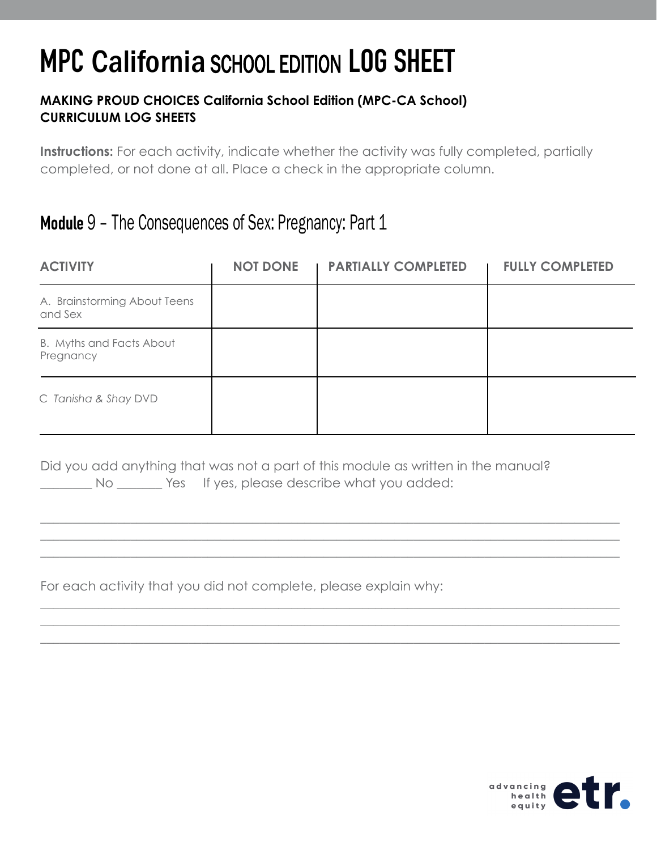#### **MAKING PROUD CHOICES California School Edition (MPC-CA School) CURRICULUM LOG SHEETS**

**Instructions:** For each activity, indicate whether the activity was fully completed, partially completed, or not done at all. Place a check in the appropriate column.

### Module 9 – The Consequences of Sex: Pregnancy: Part 1

| <b>ACTIVITY</b>                         | <b>NOT DONE</b> | <b>PARTIALLY COMPLETED</b> | <b>FULLY COMPLETED</b> |
|-----------------------------------------|-----------------|----------------------------|------------------------|
| A. Brainstorming About Teens<br>and Sex |                 |                            |                        |
| B. Myths and Facts About<br>Pregnancy   |                 |                            |                        |
| C Tanisha & Shay DVD                    |                 |                            |                        |

\_\_\_\_\_\_\_\_\_\_\_\_\_\_\_\_\_\_\_\_\_\_\_\_\_\_\_\_\_\_\_\_\_\_\_\_\_\_\_\_\_\_\_\_\_\_\_\_\_\_\_\_\_\_\_\_\_\_\_\_\_\_\_\_\_\_\_\_\_\_\_\_\_\_\_\_\_\_\_\_\_\_\_\_\_\_\_\_\_\_ \_\_\_\_\_\_\_\_\_\_\_\_\_\_\_\_\_\_\_\_\_\_\_\_\_\_\_\_\_\_\_\_\_\_\_\_\_\_\_\_\_\_\_\_\_\_\_\_\_\_\_\_\_\_\_\_\_\_\_\_\_\_\_\_\_\_\_\_\_\_\_\_\_\_\_\_\_\_\_\_\_\_\_\_\_\_\_\_\_\_ \_\_\_\_\_\_\_\_\_\_\_\_\_\_\_\_\_\_\_\_\_\_\_\_\_\_\_\_\_\_\_\_\_\_\_\_\_\_\_\_\_\_\_\_\_\_\_\_\_\_\_\_\_\_\_\_\_\_\_\_\_\_\_\_\_\_\_\_\_\_\_\_\_\_\_\_\_\_\_\_\_\_\_\_\_\_\_\_\_\_

\_\_\_\_\_\_\_\_\_\_\_\_\_\_\_\_\_\_\_\_\_\_\_\_\_\_\_\_\_\_\_\_\_\_\_\_\_\_\_\_\_\_\_\_\_\_\_\_\_\_\_\_\_\_\_\_\_\_\_\_\_\_\_\_\_\_\_\_\_\_\_\_\_\_\_\_\_\_\_\_\_\_\_\_\_\_\_\_\_\_ \_\_\_\_\_\_\_\_\_\_\_\_\_\_\_\_\_\_\_\_\_\_\_\_\_\_\_\_\_\_\_\_\_\_\_\_\_\_\_\_\_\_\_\_\_\_\_\_\_\_\_\_\_\_\_\_\_\_\_\_\_\_\_\_\_\_\_\_\_\_\_\_\_\_\_\_\_\_\_\_\_\_\_\_\_\_\_\_\_\_ \_\_\_\_\_\_\_\_\_\_\_\_\_\_\_\_\_\_\_\_\_\_\_\_\_\_\_\_\_\_\_\_\_\_\_\_\_\_\_\_\_\_\_\_\_\_\_\_\_\_\_\_\_\_\_\_\_\_\_\_\_\_\_\_\_\_\_\_\_\_\_\_\_\_\_\_\_\_\_\_\_\_\_\_\_\_\_\_\_\_

Did you add anything that was not a part of this module as written in the manual? No Wester If yes, please describe what you added:

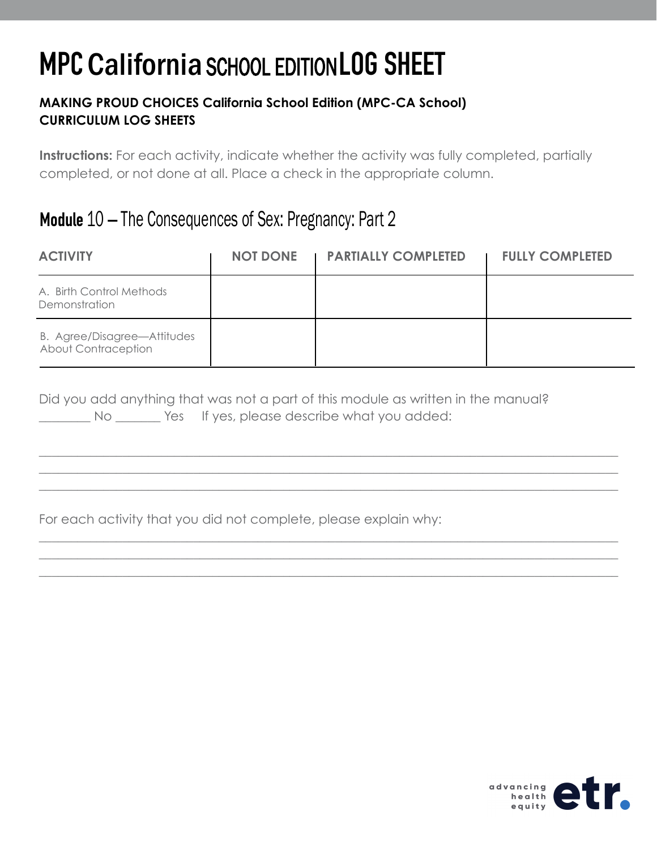#### **MAKING PROUD CHOICES California School Edition (MPC-CA School) CURRICULUM LOG SHEETS**

**Instructions:** For each activity, indicate whether the activity was fully completed, partially completed, or not done at all. Place a check in the appropriate column.

### Module 10 – The Consequences of Sex: Pregnancy: Part 2

| <b>ACTIVITY</b>                                    | <b>NOT DONE</b> | <b>PARTIALLY COMPLETED</b> | <b>FULLY COMPLETED</b> |
|----------------------------------------------------|-----------------|----------------------------|------------------------|
| A. Birth Control Methods<br>Demonstration          |                 |                            |                        |
| B. Agree/Disagree-Attitudes<br>About Contraception |                 |                            |                        |

\_\_\_\_\_\_\_\_\_\_\_\_\_\_\_\_\_\_\_\_\_\_\_\_\_\_\_\_\_\_\_\_\_\_\_\_\_\_\_\_\_\_\_\_\_\_\_\_\_\_\_\_\_\_\_\_\_\_\_\_\_\_\_\_\_\_\_\_\_\_\_\_\_\_\_\_\_\_\_\_\_\_\_\_\_\_\_\_\_\_ \_\_\_\_\_\_\_\_\_\_\_\_\_\_\_\_\_\_\_\_\_\_\_\_\_\_\_\_\_\_\_\_\_\_\_\_\_\_\_\_\_\_\_\_\_\_\_\_\_\_\_\_\_\_\_\_\_\_\_\_\_\_\_\_\_\_\_\_\_\_\_\_\_\_\_\_\_\_\_\_\_\_\_\_\_\_\_\_\_\_ \_\_\_\_\_\_\_\_\_\_\_\_\_\_\_\_\_\_\_\_\_\_\_\_\_\_\_\_\_\_\_\_\_\_\_\_\_\_\_\_\_\_\_\_\_\_\_\_\_\_\_\_\_\_\_\_\_\_\_\_\_\_\_\_\_\_\_\_\_\_\_\_\_\_\_\_\_\_\_\_\_\_\_\_\_\_\_\_\_\_

\_\_\_\_\_\_\_\_\_\_\_\_\_\_\_\_\_\_\_\_\_\_\_\_\_\_\_\_\_\_\_\_\_\_\_\_\_\_\_\_\_\_\_\_\_\_\_\_\_\_\_\_\_\_\_\_\_\_\_\_\_\_\_\_\_\_\_\_\_\_\_\_\_\_\_\_\_\_\_\_\_\_\_\_\_\_\_\_\_\_ \_\_\_\_\_\_\_\_\_\_\_\_\_\_\_\_\_\_\_\_\_\_\_\_\_\_\_\_\_\_\_\_\_\_\_\_\_\_\_\_\_\_\_\_\_\_\_\_\_\_\_\_\_\_\_\_\_\_\_\_\_\_\_\_\_\_\_\_\_\_\_\_\_\_\_\_\_\_\_\_\_\_\_\_\_\_\_\_\_\_ \_\_\_\_\_\_\_\_\_\_\_\_\_\_\_\_\_\_\_\_\_\_\_\_\_\_\_\_\_\_\_\_\_\_\_\_\_\_\_\_\_\_\_\_\_\_\_\_\_\_\_\_\_\_\_\_\_\_\_\_\_\_\_\_\_\_\_\_\_\_\_\_\_\_\_\_\_\_\_\_\_\_\_\_\_\_\_\_\_\_

Did you add anything that was not a part of this module as written in the manual? No Wester If yes, please describe what you added:

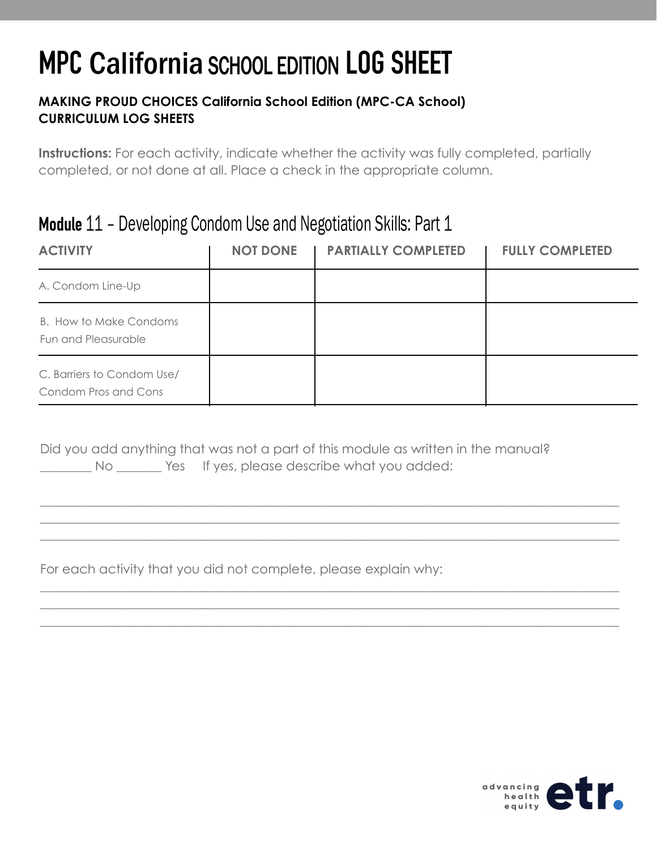#### **MAKING PROUD CHOICES California School Edition (MPC-CA School) CURRICULUM LOG SHEETS**

**Instructions:** For each activity, indicate whether the activity was fully completed, partially completed, or not done at all. Place a check in the appropriate column.

### Module 11 – Developing Condom Use and Negotiation Skills: Part 1

| <b>ACTIVITY</b>                                    | <b>NOT DONE</b> | <b>PARTIALLY COMPLETED</b> | <b>FULLY COMPLETED</b> |
|----------------------------------------------------|-----------------|----------------------------|------------------------|
| A. Condom Line-Up                                  |                 |                            |                        |
| B. How to Make Condoms<br>Fun and Pleasurable      |                 |                            |                        |
| C. Barriers to Condom Use/<br>Condom Pros and Cons |                 |                            |                        |

\_\_\_\_\_\_\_\_\_\_\_\_\_\_\_\_\_\_\_\_\_\_\_\_\_\_\_\_\_\_\_\_\_\_\_\_\_\_\_\_\_\_\_\_\_\_\_\_\_\_\_\_\_\_\_\_\_\_\_\_\_\_\_\_\_\_\_\_\_\_\_\_\_\_\_\_\_\_\_\_\_\_\_\_\_\_\_\_\_\_ \_\_\_\_\_\_\_\_\_\_\_\_\_\_\_\_\_\_\_\_\_\_\_\_\_\_\_\_\_\_\_\_\_\_\_\_\_\_\_\_\_\_\_\_\_\_\_\_\_\_\_\_\_\_\_\_\_\_\_\_\_\_\_\_\_\_\_\_\_\_\_\_\_\_\_\_\_\_\_\_\_\_\_\_\_\_\_\_\_\_ \_\_\_\_\_\_\_\_\_\_\_\_\_\_\_\_\_\_\_\_\_\_\_\_\_\_\_\_\_\_\_\_\_\_\_\_\_\_\_\_\_\_\_\_\_\_\_\_\_\_\_\_\_\_\_\_\_\_\_\_\_\_\_\_\_\_\_\_\_\_\_\_\_\_\_\_\_\_\_\_\_\_\_\_\_\_\_\_\_\_

\_\_\_\_\_\_\_\_\_\_\_\_\_\_\_\_\_\_\_\_\_\_\_\_\_\_\_\_\_\_\_\_\_\_\_\_\_\_\_\_\_\_\_\_\_\_\_\_\_\_\_\_\_\_\_\_\_\_\_\_\_\_\_\_\_\_\_\_\_\_\_\_\_\_\_\_\_\_\_\_\_\_\_\_\_\_\_\_\_\_ \_\_\_\_\_\_\_\_\_\_\_\_\_\_\_\_\_\_\_\_\_\_\_\_\_\_\_\_\_\_\_\_\_\_\_\_\_\_\_\_\_\_\_\_\_\_\_\_\_\_\_\_\_\_\_\_\_\_\_\_\_\_\_\_\_\_\_\_\_\_\_\_\_\_\_\_\_\_\_\_\_\_\_\_\_\_\_\_\_\_ \_\_\_\_\_\_\_\_\_\_\_\_\_\_\_\_\_\_\_\_\_\_\_\_\_\_\_\_\_\_\_\_\_\_\_\_\_\_\_\_\_\_\_\_\_\_\_\_\_\_\_\_\_\_\_\_\_\_\_\_\_\_\_\_\_\_\_\_\_\_\_\_\_\_\_\_\_\_\_\_\_\_\_\_\_\_\_\_\_\_

Did you add anything that was not a part of this module as written in the manual? No Wes If yes, please describe what you added:

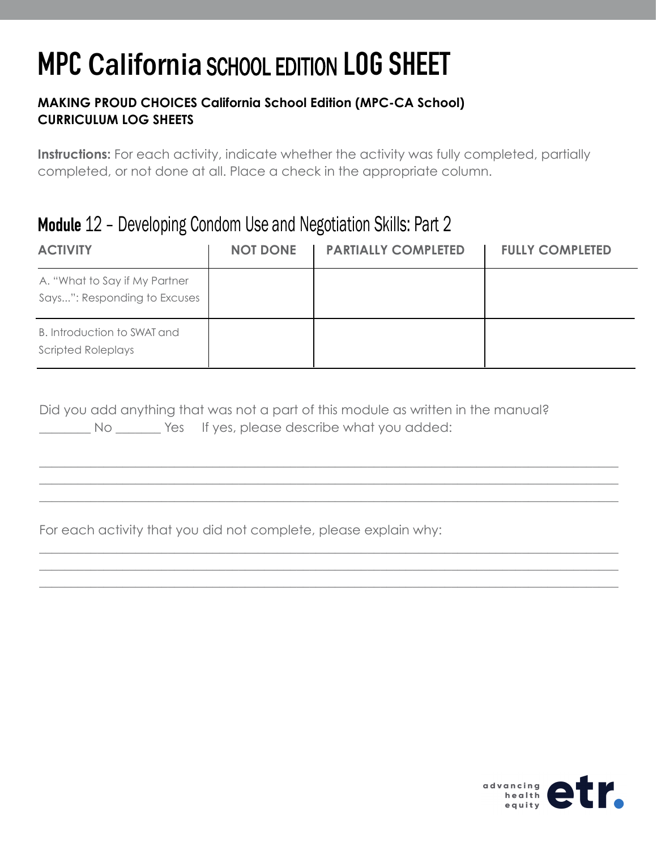#### **MAKING PROUD CHOICES California School Edition (MPC-CA School) CURRICULUM LOG SHEETS**

**Instructions:** For each activity, indicate whether the activity was fully completed, partially completed, or not done at all. Place a check in the appropriate column.

### Module 12 – Developing Condom Use and Negotiation Skills: Part 2

| <b>ACTIVITY</b>                                               | <b>NOT DONE</b><br>$\blacksquare$ | <b>PARTIALLY COMPLETED</b> | <b>FULLY COMPLETED</b> |
|---------------------------------------------------------------|-----------------------------------|----------------------------|------------------------|
| A. "What to Say if My Partner<br>Says": Responding to Excuses |                                   |                            |                        |
| B. Introduction to SWAT and<br><b>Scripted Roleplays</b>      |                                   |                            |                        |

\_\_\_\_\_\_\_\_\_\_\_\_\_\_\_\_\_\_\_\_\_\_\_\_\_\_\_\_\_\_\_\_\_\_\_\_\_\_\_\_\_\_\_\_\_\_\_\_\_\_\_\_\_\_\_\_\_\_\_\_\_\_\_\_\_\_\_\_\_\_\_\_\_\_\_\_\_\_\_\_\_\_\_\_\_\_\_\_\_\_ \_\_\_\_\_\_\_\_\_\_\_\_\_\_\_\_\_\_\_\_\_\_\_\_\_\_\_\_\_\_\_\_\_\_\_\_\_\_\_\_\_\_\_\_\_\_\_\_\_\_\_\_\_\_\_\_\_\_\_\_\_\_\_\_\_\_\_\_\_\_\_\_\_\_\_\_\_\_\_\_\_\_\_\_\_\_\_\_\_\_ \_\_\_\_\_\_\_\_\_\_\_\_\_\_\_\_\_\_\_\_\_\_\_\_\_\_\_\_\_\_\_\_\_\_\_\_\_\_\_\_\_\_\_\_\_\_\_\_\_\_\_\_\_\_\_\_\_\_\_\_\_\_\_\_\_\_\_\_\_\_\_\_\_\_\_\_\_\_\_\_\_\_\_\_\_\_\_\_\_\_

\_\_\_\_\_\_\_\_\_\_\_\_\_\_\_\_\_\_\_\_\_\_\_\_\_\_\_\_\_\_\_\_\_\_\_\_\_\_\_\_\_\_\_\_\_\_\_\_\_\_\_\_\_\_\_\_\_\_\_\_\_\_\_\_\_\_\_\_\_\_\_\_\_\_\_\_\_\_\_\_\_\_\_\_\_\_\_\_\_\_ \_\_\_\_\_\_\_\_\_\_\_\_\_\_\_\_\_\_\_\_\_\_\_\_\_\_\_\_\_\_\_\_\_\_\_\_\_\_\_\_\_\_\_\_\_\_\_\_\_\_\_\_\_\_\_\_\_\_\_\_\_\_\_\_\_\_\_\_\_\_\_\_\_\_\_\_\_\_\_\_\_\_\_\_\_\_\_\_\_\_ \_\_\_\_\_\_\_\_\_\_\_\_\_\_\_\_\_\_\_\_\_\_\_\_\_\_\_\_\_\_\_\_\_\_\_\_\_\_\_\_\_\_\_\_\_\_\_\_\_\_\_\_\_\_\_\_\_\_\_\_\_\_\_\_\_\_\_\_\_\_\_\_\_\_\_\_\_\_\_\_\_\_\_\_\_\_\_\_\_\_

|  | Did you add anything that was not a part of this module as written in the manual? |  |
|--|-----------------------------------------------------------------------------------|--|
|  | Yes If yes, please describe what you added:                                       |  |

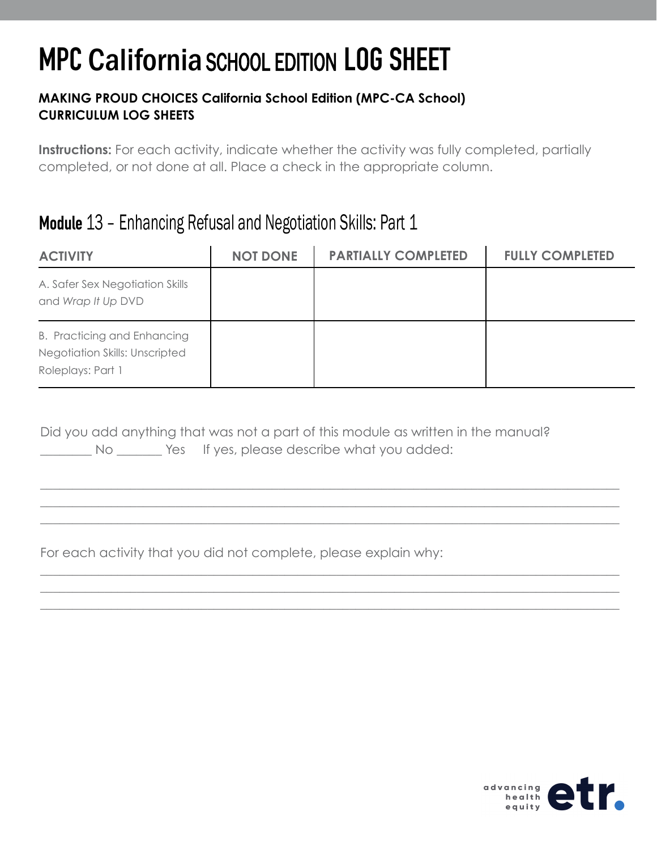#### **MAKING PROUD CHOICES California School Edition (MPC-CA School) CURRICULUM LOG SHEETS**

**Instructions:** For each activity, indicate whether the activity was fully completed, partially completed, or not done at all. Place a check in the appropriate column.

### Module 13 – Enhancing Refusal and Negotiation Skills: Part 1

| <b>ACTIVITY</b>                                                                    | <b>NOT DONE</b> | <b>PARTIALLY COMPLETED</b> | <b>FULLY COMPLETED</b> |
|------------------------------------------------------------------------------------|-----------------|----------------------------|------------------------|
| A. Safer Sex Negotiation Skills<br>and Wrap It Up DVD                              |                 |                            |                        |
| B. Practicing and Enhancing<br>Negotiation Skills: Unscripted<br>Roleplays: Part 1 |                 |                            |                        |

\_\_\_\_\_\_\_\_\_\_\_\_\_\_\_\_\_\_\_\_\_\_\_\_\_\_\_\_\_\_\_\_\_\_\_\_\_\_\_\_\_\_\_\_\_\_\_\_\_\_\_\_\_\_\_\_\_\_\_\_\_\_\_\_\_\_\_\_\_\_\_\_\_\_\_\_\_\_\_\_\_\_\_\_\_\_\_\_\_\_ \_\_\_\_\_\_\_\_\_\_\_\_\_\_\_\_\_\_\_\_\_\_\_\_\_\_\_\_\_\_\_\_\_\_\_\_\_\_\_\_\_\_\_\_\_\_\_\_\_\_\_\_\_\_\_\_\_\_\_\_\_\_\_\_\_\_\_\_\_\_\_\_\_\_\_\_\_\_\_\_\_\_\_\_\_\_\_\_\_\_  $\_$  , and the set of the set of the set of the set of the set of the set of the set of the set of the set of the set of the set of the set of the set of the set of the set of the set of the set of the set of the set of th

\_\_\_\_\_\_\_\_\_\_\_\_\_\_\_\_\_\_\_\_\_\_\_\_\_\_\_\_\_\_\_\_\_\_\_\_\_\_\_\_\_\_\_\_\_\_\_\_\_\_\_\_\_\_\_\_\_\_\_\_\_\_\_\_\_\_\_\_\_\_\_\_\_\_\_\_\_\_\_\_\_\_\_\_\_\_\_\_\_\_ \_\_\_\_\_\_\_\_\_\_\_\_\_\_\_\_\_\_\_\_\_\_\_\_\_\_\_\_\_\_\_\_\_\_\_\_\_\_\_\_\_\_\_\_\_\_\_\_\_\_\_\_\_\_\_\_\_\_\_\_\_\_\_\_\_\_\_\_\_\_\_\_\_\_\_\_\_\_\_\_\_\_\_\_\_\_\_\_\_\_ \_\_\_\_\_\_\_\_\_\_\_\_\_\_\_\_\_\_\_\_\_\_\_\_\_\_\_\_\_\_\_\_\_\_\_\_\_\_\_\_\_\_\_\_\_\_\_\_\_\_\_\_\_\_\_\_\_\_\_\_\_\_\_\_\_\_\_\_\_\_\_\_\_\_\_\_\_\_\_\_\_\_\_\_\_\_\_\_\_\_

Did you add anything that was not a part of this module as written in the manual? No Wes If yes, please describe what you added: